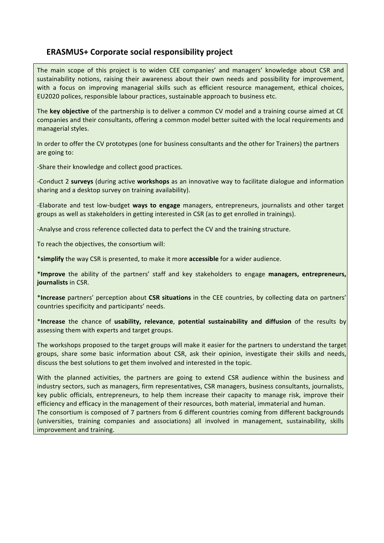## **ERASMUS+ Corporate social responsibility project**

The main scope of this project is to widen CEE companies' and managers' knowledge about CSR and sustainability notions, raising their awareness about their own needs and possibility for improvement, with a focus on improving managerial skills such as efficient resource management, ethical choices, EU2020 polices, responsible labour practices, sustainable approach to business etc.

The **key objective** of the partnership is to deliver a common CV model and a training course aimed at CE companies and their consultants, offering a common model better suited with the local requirements and managerial styles.

In order to offer the CV prototypes (one for business consultants and the other for Trainers) the partners are going to:

-Share their knowledge and collect good practices.

-Conduct 2 surveys (during active workshops as an innovative way to facilitate dialogue and information sharing and a desktop survey on training availability).

-Elaborate and test low-budget ways to engage managers, entrepreneurs, journalists and other target groups as well as stakeholders in getting interested in CSR (as to get enrolled in trainings).

-Analyse and cross reference collected data to perfect the CV and the training structure.

To reach the objectives, the consortium will:

\***simplify** the way CSR is presented, to make it more **accessible** for a wider audience.

\***Improve** the ability of the partners' staff and key stakeholders to engage **managers, entrepreneurs, journalists** in CSR. 

\*Increase partners' perception about CSR situations in the CEE countries, by collecting data on partners' countries specificity and participants' needs.

\***Increase** the chance of **usability, relevance**, **potential sustainability and diffusion** of the results by assessing them with experts and target groups.

The workshops proposed to the target groups will make it easier for the partners to understand the target groups, share some basic information about CSR, ask their opinion, investigate their skills and needs, discuss the best solutions to get them involved and interested in the topic.

With the planned activities, the partners are going to extend CSR audience within the business and industry sectors, such as managers, firm representatives, CSR managers, business consultants, journalists, key public officials, entrepreneurs, to help them increase their capacity to manage risk, improve their efficiency and efficacy in the management of their resources, both material, immaterial and human. The consortium is composed of 7 partners from 6 different countries coming from different backgrounds (universities, training companies and associations) all involved in management, sustainability, skills improvement and training.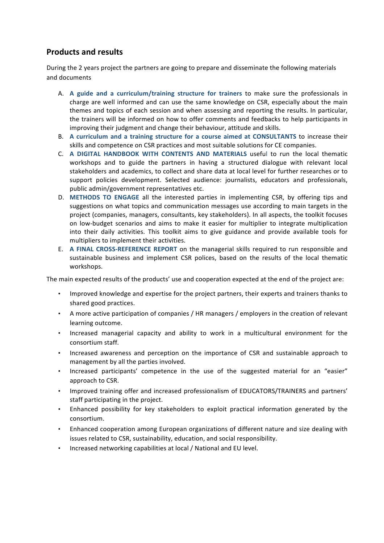## **Products and results**

During the 2 years project the partners are going to prepare and disseminate the following materials and documents 

- A. A guide and a curriculum/training structure for trainers to make sure the professionals in charge are well informed and can use the same knowledge on CSR, especially about the main themes and topics of each session and when assessing and reporting the results. In particular, the trainers will be informed on how to offer comments and feedbacks to help participants in improving their judgment and change their behaviour, attitude and skills.
- B. A curriculum and a training structure for a course aimed at CONSULTANTS to increase their skills and competence on CSR practices and most suitable solutions for CE companies.
- **C.** A DIGITAL HANDBOOK WITH CONTENTS AND MATERIALS useful to run the local thematic workshops and to guide the partners in having a structured dialogue with relevant local stakeholders and academics, to collect and share data at local level for further researches or to support policies development. Selected audience: journalists, educators and professionals, public admin/government representatives etc.
- D. METHODS TO ENGAGE all the interested parties in implementing CSR, by offering tips and suggestions on what topics and communication messages use according to main targets in the project (companies, managers, consultants, key stakeholders). In all aspects, the toolkit focuses on low-budget scenarios and aims to make it easier for multiplier to integrate multiplication into their daily activities. This toolkit aims to give guidance and provide available tools for multipliers to implement their activities.
- E. A FINAL CROSS-REFERENCE REPORT on the managerial skills required to run responsible and sustainable business and implement CSR polices, based on the results of the local thematic workshops.

The main expected results of the products' use and cooperation expected at the end of the project are:

- Improved knowledge and expertise for the project partners, their experts and trainers thanks to shared good practices.
- A more active participation of companies / HR managers / employers in the creation of relevant learning outcome.
- Increased managerial capacity and ability to work in a multicultural environment for the consortium staff.
- Increased awareness and perception on the importance of CSR and sustainable approach to management by all the parties involved.
- Increased participants' competence in the use of the suggested material for an "easier" approach to CSR.
- Improved training offer and increased professionalism of EDUCATORS/TRAINERS and partners' staff participating in the project.
- Enhanced possibility for key stakeholders to exploit practical information generated by the consortium.
- Enhanced cooperation among European organizations of different nature and size dealing with issues related to CSR, sustainability, education, and social responsibility.
- Increased networking capabilities at local / National and EU level.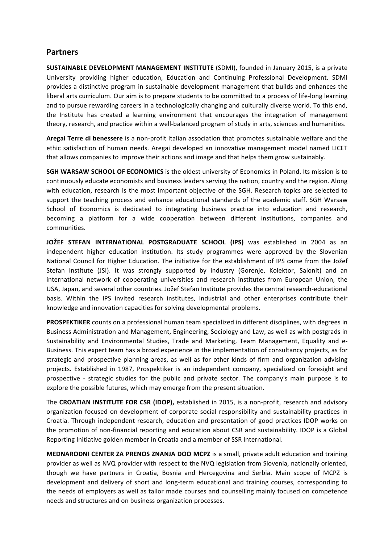## **Partners**

**SUSTAINABLE DEVELOPMENT MANAGEMENT INSTITUTE** (SDMI), founded in January 2015, is a private University providing higher education, Education and Continuing Professional Development. SDMI provides a distinctive program in sustainable development management that builds and enhances the liberal arts curriculum. Our aim is to prepare students to be committed to a process of life-long learning and to pursue rewarding careers in a technologically changing and culturally diverse world. To this end, the Institute has created a learning environment that encourages the integration of management theory, research, and practice within a well-balanced program of study in arts, sciences and humanities.

**Aregai Terre di benessere** is a non-profit Italian association that promotes sustainable welfare and the ethic satisfaction of human needs. Aregai developed an innovative management model named LICET that allows companies to improve their actions and image and that helps them grow sustainably.

**SGH WARSAW SCHOOL OF ECONOMICS** is the oldest university of Economics in Poland. Its mission is to continuously educate economists and business leaders serving the nation, country and the region. Along with education, research is the most important objective of the SGH. Research topics are selected to support the teaching process and enhance educational standards of the academic staff. SGH Warsaw School of Economics is dedicated to integrating business practice into education and research, becoming a platform for a wide cooperation between different institutions, companies and communities.

**JOŽEF STEFAN INTERNATIONAL POSTGRADUATE SCHOOL (IPS)** was established in 2004 as an independent higher education institution. Its study programmes were approved by the Slovenian National Council for Higher Education. The initiative for the establishment of IPS came from the Jožef Stefan Institute (JSI). It was strongly supported by industry (Gorenje, Kolektor, Salonit) and an international network of cooperating universities and research institutes from European Union, the USA, Japan, and several other countries. Jožef Stefan Institute provides the central research-educational basis. Within the IPS invited research institutes, industrial and other enterprises contribute their knowledge and innovation capacities for solving developmental problems.

**PROSPEKTIKER** counts on a professional human team specialized in different disciplines, with degrees in Business Administration and Management, Engineering, Sociology and Law, as well as with postgrads in Sustainability and Environmental Studies, Trade and Marketing, Team Management, Equality and e-Business. This expert team has a broad experience in the implementation of consultancy projects, as for strategic and prospective planning areas, as well as for other kinds of firm and organization advising projects. Established in 1987, Prospektiker is an independent company, specialized on foresight and prospective - strategic studies for the public and private sector. The company's main purpose is to explore the possible futures, which may emerge from the present situation.

The CROATIAN INSTITUTE FOR CSR (IDOP), established in 2015, is a non-profit, research and advisory organization focused on development of corporate social responsibility and sustainability practices in Croatia. Through independent research, education and presentation of good practices IDOP works on the promotion of non-financial reporting and education about CSR and sustainability. IDOP is a Global Reporting Initiative golden member in Croatia and a member of SSR International.

**MEDNARODNI CENTER ZA PRENOS ZNANJA DOO MCPZ** is a small, private adult education and training provider as well as NVQ provider with respect to the NVQ legislation from Slovenia, nationally oriented, though we have partners in Croatia, Bosnia and Hercegovina and Serbia. Main scope of MCPZ is development and delivery of short and long-term educational and training courses, corresponding to the needs of employers as well as tailor made courses and counselling mainly focused on competence needs and structures and on business organization processes.